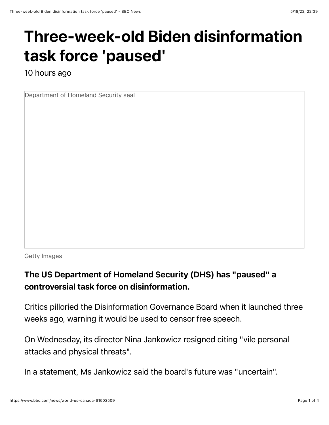## Three-week-old Biden disinformation task force 'paused'

10 hours ago

Department of Homeland Security seal

Getty Images

## The US Department of Homeland Security (DHS) has "paused" a controversial task force on disinformation.

Critics pilloried the Disinformation Governance Board when it launched three weeks ago, warning it would be used to censor free speech.

On Wednesday, its director Nina Jankowicz resigned citing "vile personal attacks and physical threats".

In a statement, Ms Jankowicz said the board's future was "uncertain".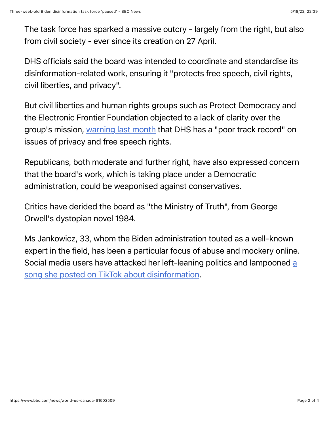The task force has sparked a massive outcry - largely from the right, but also from civil society - ever since its creation on 27 April.

DHS officials said the board was intended to coordinate and standardise its disinformation-related work, ensuring it "protects free speech, civil rights, civil liberties, and privacy".

But civil liberties and human rights groups such as Protect Democracy and the Electronic Frontier Foundation objected to a lack of clarity over the group's mission, [warning last month](https://protectdemocracy.org/2022/05/03/letter-to-dhs-secretary-alejandro-mayorkas-regarding-disinformation-governance-board/) that DHS has a "poor track record" on issues of privacy and free speech rights.

Republicans, both moderate and further right, have also expressed concern that the board's work, which is taking place under a Democratic administration, could be weaponised against conservatives.

Critics have derided the board as "the Ministry of Truth", from George Orwell's dystopian novel 1984.

Ms Jankowicz, 33, whom the Biden administration touted as a well-known expert in the field, has been a particular focus of abuse and mockery online. [Social media users have attacked her left-leaning politics and lampooned a](https://twitter.com/wiczipedia/status/1362153807879303171) song she posted on TikTok about disinformation.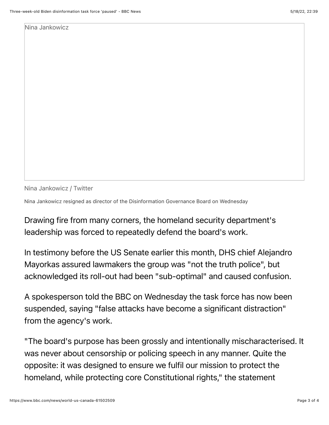Nina Jankowicz / Twitter

Nina Jankowicz resigned as director of the Disinformation Governance Board on Wednesday

Drawing fire from many corners, the homeland security department's leadership was forced to repeatedly defend the board's work.

In testimony before the US Senate earlier this month, DHS chief Alejandro Mayorkas assured lawmakers the group was "not the truth police", but acknowledged its roll-out had been "sub-optimal" and caused confusion.

A spokesperson told the BBC on Wednesday the task force has now been suspended, saying "false attacks have become a significant distraction" from the agency's work.

"The board's purpose has been grossly and intentionally mischaracterised. It was never about censorship or policing speech in any manner. Quite the opposite: it was designed to ensure we fulfil our mission to protect the homeland, while protecting core Constitutional rights," the statement